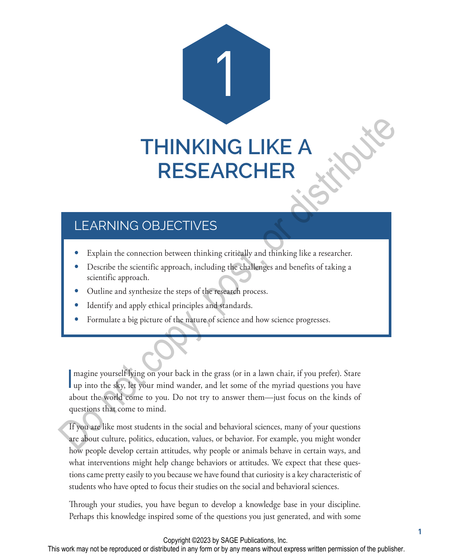# **THINKING LIKE A RESEARCHE**

1

## LEARNING OBJECTIVES

- Explain the connection between thinking critically and thinking like a researcher.
- Describe the scientific approach, including the challenges and benefits of taking a scientific approach.
- Outline and synthesize the steps of the research process.
- Identify and apply ethical principles and standards.
- Formulate a big picture of the nature of science and how science progresses.

I magine yourself lying on your back in the grass (or in a lawn chair, if you prefer). Stare up into the sky, let your mind wander, and let some of the myriad questions you have magine yourself lying on your back in the grass (or in a lawn chair, if you prefer). Stare about the world come to you. Do not try to answer them—just focus on the kinds of questions that come to mind. THINKING LIKE A<br>
RESEARCHER<br>
LEARNING OBJECTIVES<br>
• Explain the connection between thinking critically and thinking like a researcher.<br>
• Describe the scientific approach, including the challenges and benefits of taking a<br>

If you are like most students in the social and behavioral sciences, many of your questions are about culture, politics, education, values, or behavior. For example, you might wonder how people develop certain attitudes, why people or animals behave in certain ways, and what interventions might help change behaviors or attitudes. We expect that these questions came pretty easily to you because we have found that curiosity is a key characteristic of students who have opted to focus their studies on the social and behavioral sciences.

Through your studies, you have begun to develop a knowledge base in your discipline. Perhaps this knowledge inspired some of the questions you just generated, and with some

#### Copyright ©2023 by SAGE Publications, Inc.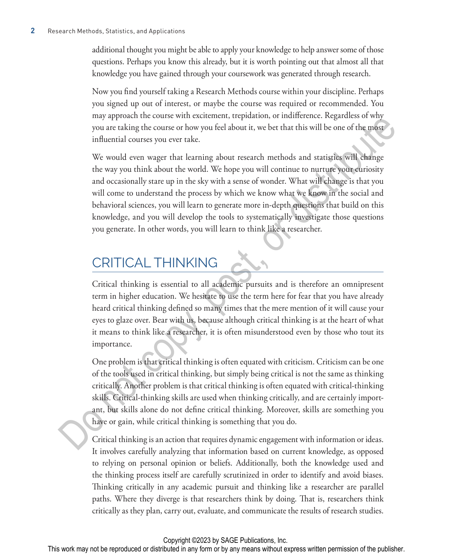additional thought you might be able to apply your knowledge to help answer some of those questions. Perhaps you know this already, but it is worth pointing out that almost all that knowledge you have gained through your coursework was generated through research.

Now you find yourself taking a Research Methods course within your discipline. Perhaps you signed up out of interest, or maybe the course was required or recommended. You may approach the course with excitement, trepidation, or indifference. Regardless of why you are taking the course or how you feel about it, we bet that this will be one of the most influential courses you ever take.

We would even wager that learning about research methods and statistics will change the way you think about the world. We hope you will continue to nurture your curiosity and occasionally stare up in the sky with a sense of wonder. What will change is that you will come to understand the process by which we know what we know in the social and behavioral sciences, you will learn to generate more in-depth questions that build on this knowledge, and you will develop the tools to systematically investigate those questions you generate. In other words, you will learn to think like a researcher. not special to conservant controllation to the special solven in the special solven in the special chiractic product is the most influential courses you ever take.<br>We would even wager that learning about research methods a

## CRITICAL THINKING

Critical thinking is essential to all academic pursuits and is therefore an omnipresent term in higher education. We hesitate to use the term here for fear that you have already heard critical thinking defined so many times that the mere mention of it will cause your eyes to glaze over. Bear with us, because although critical thinking is at the heart of what it means to think like a researcher, it is often misunderstood even by those who tout its importance.

One problem is that critical thinking is often equated with criticism. Criticism can be one of the tools used in critical thinking, but simply being critical is not the same as thinking critically. Another problem is that critical thinking is often equated with critical-thinking skills. Critical-thinking skills are used when thinking critically, and are certainly important, but skills alone do not define critical thinking. Moreover, skills are something you have or gain, while critical thinking is something that you do.

Critical thinking is an action that requires dynamic engagement with information or ideas. It involves carefully analyzing that information based on current knowledge, as opposed to relying on personal opinion or beliefs. Additionally, both the knowledge used and the thinking process itself are carefully scrutinized in order to identify and avoid biases. Thinking critically in any academic pursuit and thinking like a researcher are parallel paths. Where they diverge is that researchers think by doing. That is, researchers think critically as they plan, carry out, evaluate, and communicate the results of research studies.

Copyright ©2023 by SAGE Publications, Inc.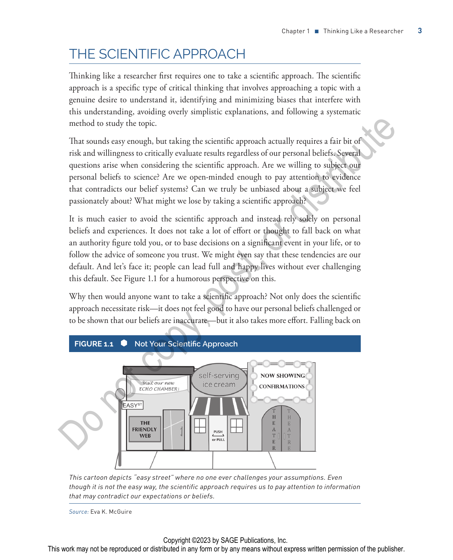## THE SCIENTIFIC APPROACH

Thinking like a researcher first requires one to take a scientific approach. The scientific approach is a specific type of critical thinking that involves approaching a topic with a genuine desire to understand it, identifying and minimizing biases that interfere with this understanding, avoiding overly simplistic explanations, and following a systematic method to study the topic.

That sounds easy enough, but taking the scientific approach actually requires a fair bit of risk and willingness to critically evaluate results regardless of our personal beliefs. Several questions arise when considering the scientific approach. Are we willing to subject our personal beliefs to science? Are we open-minded enough to pay attention to evidence that contradicts our belief systems? Can we truly be unbiased about a subject we feel passionately about? What might we lose by taking a scientific approach?

It is much easier to avoid the scientific approach and instead rely solely on personal beliefs and experiences. It does not take a lot of effort or thought to fall back on what an authority figure told you, or to base decisions on a significant event in your life, or to follow the advice of someone you trust. We might even say that these tendencies are our default. And let's face it; people can lead full and happy lives without ever challenging this default. See Figure 1.1 for a humorous perspective on this.

Why then would anyone want to take a scientific approach? Not only does the scientific approach necessitate risk—it does not feel good to have our personal beliefs challenged or to be shown that our beliefs are inaccurate—but it also takes more effort. Falling back on



*This cartoon depicts "easy street" where no one ever challenges your assumptions. Even though it is not the easy way, the scientific approach requires us to pay attention to information that may contradict our expectations or beliefs.*

*Source:* Eva K. McGuire

#### Copyright ©2023 by SAGE Publications, Inc.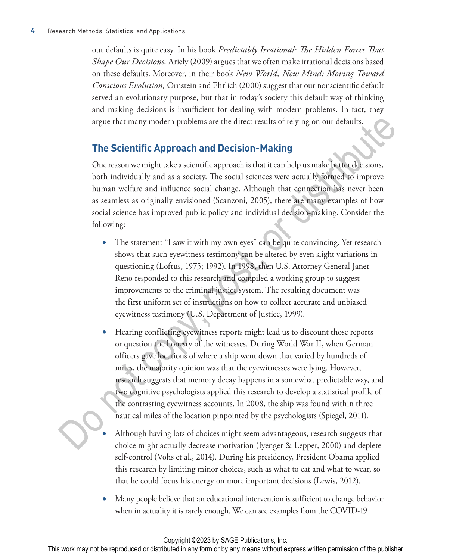our defaults is quite easy. In his book *Predictably Irrational: The Hidden Forces That Shape Our Decisions,* Ariely (2009) argues that we often make irrational decisions based on these defaults. Moreover, in their book *New World, New Mind: Moving Toward Conscious Evolution,* Ornstein and Ehrlich (2000) suggest that our nonscientific default served an evolutionary purpose, but that in today's society this default way of thinking and making decisions is insufficient for dealing with modern problems. In fact, they argue that many modern problems are the direct results of relying on our defaults.

## **The Scientific Approach and Decision-Making**

One reason we might take a scientific approach is that it can help us make better decisions, both individually and as a society. The social sciences were actually formed to improve human welfare and influence social change. Although that connection has never been as seamless as originally envisioned (Scanzoni, 2005), there are many examples of how social science has improved public policy and individual decision-making. Consider the following:

- The statement "I saw it with my own eyes" can be quite convincing. Yet research shows that such eyewitness testimony can be altered by even slight variations in questioning (Loftus, 1975; 1992). In 1998, then U.S. Attorney General Janet Reno responded to this research and compiled a working group to suggest improvements to the criminal justice system. The resulting document was the first uniform set of instructions on how to collect accurate and unbiased eyewitness testimony (U.S. Department of Justice, 1999).
- Hearing conflicting eyewitness reports might lead us to discount those reports or question the honesty of the witnesses. During World War II, when German officers gave locations of where a ship went down that varied by hundreds of miles, the majority opinion was that the eyewitnesses were lying. However, research suggests that memory decay happens in a somewhat predictable way, and two cognitive psychologists applied this research to develop a statistical profile of the contrasting eyewitness accounts. In 2008, the ship was found within three nautical miles of the location pinpointed by the psychologists (Spiegel, 2011). argue that many modern problems are the direct results of relying on our defaults.<br>
The Scientific Approach and Decision-Making<br>
One reason we might take a scientific approach is that it can help us make better decisions,<br>



• Many people believe that an educational intervention is sufficient to change behavior when in actuality it is rarely enough. We can see examples from the COVID-19

#### Copyright ©2023 by SAGE Publications, Inc.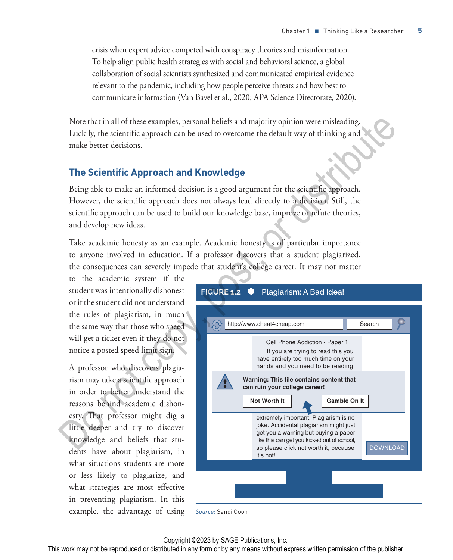crisis when expert advice competed with conspiracy theories and misinformation. To help align public health strategies with social and behavioral science, a global collaboration of social scientists synthesized and communicated empirical evidence relevant to the pandemic, including how people perceive threats and how best to communicate information (Van Bavel et al., 2020; APA Science Directorate, 2020).

Note that in all of these examples, personal beliefs and majority opinion were misleading. Luckily, the scientific approach can be used to overcome the default way of thinking and make better decisions.

### **The Scientific Approach and Knowledge**

Being able to make an informed decision is a good argument for the scientific approach. However, the scientific approach does not always lead directly to a decision. Still, the scientific approach can be used to build our knowledge base, improve or refute theories, and develop new ideas.

Take academic honesty as an example. Academic honesty is of particular importance to anyone involved in education. If a professor discovers that a student plagiarized, the consequences can severely impede that student's college career. It may not matter

to the academic system if the student was intentionally dishonest or if the student did not understand the rules of plagiarism, in much the same way that those who speed will get a ticket even if they do not notice a posted speed limit sign.

A professor who discovers plagiarism may take a scientific approach in order to better understand the reasons behind academic dishonesty. That professor might dig a little deeper and try to discover knowledge and beliefs that students have about plagiarism, in what situations students are more or less likely to plagiarize, and what strategies are most effective in preventing plagiarism. In this example, the advantage of using



*Source:* Sandi Coon

#### Copyright ©2023 by SAGE Publications, Inc.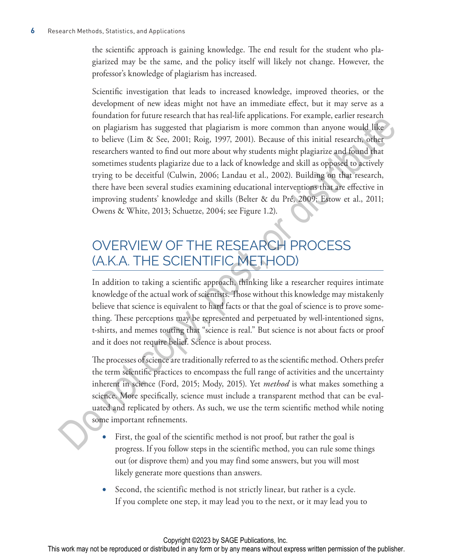the scientific approach is gaining knowledge. The end result for the student who plagiarized may be the same, and the policy itself will likely not change. However, the professor's knowledge of plagiarism has increased.

Scientific investigation that leads to increased knowledge, improved theories, or the development of new ideas might not have an immediate effect, but it may serve as a foundation for future research that has real-life applications. For example, earlier research on plagiarism has suggested that plagiarism is more common than anyone would like to believe (Lim & See, 2001; Roig, 1997, 2001). Because of this initial research, other researchers wanted to find out more about why students might plagiarize and found that sometimes students plagiarize due to a lack of knowledge and skill as opposed to actively trying to be deceitful (Culwin, 2006; Landau et al., 2002). Building on that research, there have been several studies examining educational interventions that are effective in improving students' knowledge and skills (Belter & du Pré, 2009; Estow et al., 2011; Owens & White, 2013; Schuetze, 2004; see Figure 1.2). nondatorion turntuctures transformal mass carreling protations. For Campic, same respectively to believe (Lim & See, 2001; Roig, 1997, 2001). Because of this initial research; or<br>the researchers wanted to find out more ab

## OVERVIEW OF THE RESEARCH PROCESS (A.K.A. THE SCIENTIFIC METHOD)

In addition to taking a scientific approach, thinking like a researcher requires intimate knowledge of the actual work of scientists. Those without this knowledge may mistakenly believe that science is equivalent to hard facts or that the goal of science is to prove something. These perceptions may be represented and perpetuated by well-intentioned signs, t-shirts, and memes touting that "science is real." But science is not about facts or proof and it does not require belief. Science is about process.

The processes of science are traditionally referred to as the scientific method. Others prefer the term scientific practices to encompass the full range of activities and the uncertainty inherent in science (Ford, 2015; Mody, 2015). Yet *method* is what makes something a science. More specifically, science must include a transparent method that can be evaluated and replicated by others. As such, we use the term scientific method while noting some important refinements.

- First, the goal of the scientific method is not proof, but rather the goal is progress. If you follow steps in the scientific method, you can rule some things out (or disprove them) and you may find some answers, but you will most likely generate more questions than answers.
- Second, the scientific method is not strictly linear, but rather is a cycle. If you complete one step, it may lead you to the next, or it may lead you to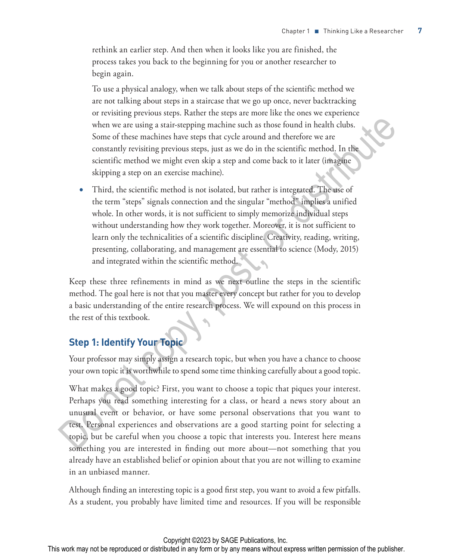rethink an earlier step. And then when it looks like you are finished, the process takes you back to the beginning for you or another researcher to begin again.

To use a physical analogy, when we talk about steps of the scientific method we are not talking about steps in a staircase that we go up once, never backtracking or revisiting previous steps. Rather the steps are more like the ones we experience when we are using a stair-stepping machine such as those found in health clubs. Some of these machines have steps that cycle around and therefore we are constantly revisiting previous steps, just as we do in the scientific method. In the scientific method we might even skip a step and come back to it later (imagine skipping a step on an exercise machine).

• Third, the scientific method is not isolated, but rather is integrated. The use of the term "steps" signals connection and the singular "method" implies a unified whole. In other words, it is not sufficient to simply memorize individual steps without understanding how they work together. Moreover, it is not sufficient to learn only the technicalities of a scientific discipline. Creativity, reading, writing, presenting, collaborating, and management are essential to science (Mody, 2015) and integrated within the scientific method. when we are using a stati-strepping machine such as those found in health clubs.<br>
Some of these machines have steps that cyled around and therefore we are<br>
constantly revisiting previous steps, just as we do in the scienti

Keep these three refinements in mind as we next outline the steps in the scientific method. The goal here is not that you master every concept but rather for you to develop a basic understanding of the entire research process. We will expound on this process in the rest of this textbook.

## **Step 1: Identify Your Topic**

Your professor may simply assign a research topic, but when you have a chance to choose your own topic it is worthwhile to spend some time thinking carefully about a good topic.

What makes a good topic? First, you want to choose a topic that piques your interest. Perhaps you read something interesting for a class, or heard a news story about an unusual event or behavior, or have some personal observations that you want to test. Personal experiences and observations are a good starting point for selecting a topic, but be careful when you choose a topic that interests you. Interest here means something you are interested in finding out more about—not something that you already have an established belief or opinion about that you are not willing to examine in an unbiased manner.

Although finding an interesting topic is a good first step, you want to avoid a few pitfalls. As a student, you probably have limited time and resources. If you will be responsible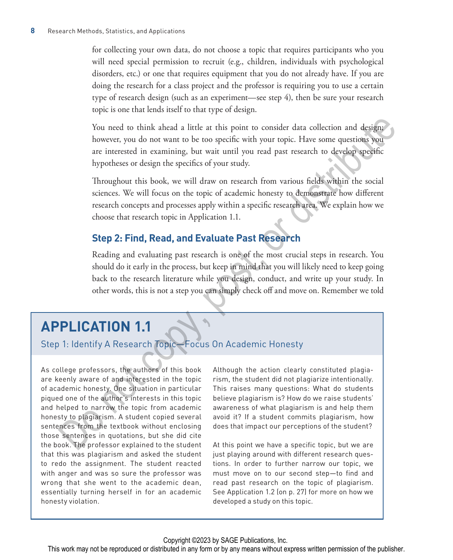for collecting your own data, do not choose a topic that requires participants who you will need special permission to recruit (e.g., children, individuals with psychological disorders, etc.) or one that requires equipment that you do not already have. If you are doing the research for a class project and the professor is requiring you to use a certain type of research design (such as an experiment—see step 4), then be sure your research topic is one that lends itself to that type of design.

You need to think ahead a little at this point to consider data collection and design; however, you do not want to be too specific with your topic. Have some questions you are interested in examining, but wait until you read past research to develop specific hypotheses or design the specifics of your study.

Throughout this book, we will draw on research from various fields within the social sciences. We will focus on the topic of academic honesty to demonstrate how different research concepts and processes apply within a specific research area. We explain how we choose that research topic in Application 1.1.

## **Step 2: Find, Read, and Evaluate Past Research**

Reading and evaluating past research is one of the most crucial steps in research. You should do it early in the process, but keep in mind that you will likely need to keep going back to the research literature while you design, conduct, and write up your study. In other words, this is not a step you can simply check off and move on. Remember we told You need to think ahead a little at this point to consider dua collection and design;<br>
however, you do not want to be too specific with your topic. Have some questions you<br>
are interested in examining, but wait until you r

## **APPLICATION 1.1**

Step 1: Identify A Research Topic—Focus On Academic Honesty

As college professors, the authors of this book are keenly aware of and interested in the topic of academic honesty. One situation in particular piqued one of the author's interests in this topic and helped to narrow the topic from academic honesty to plagiarism. A student copied several sentences from the textbook without enclosing those sentences in quotations, but she did cite the book. The professor explained to the student that this was plagiarism and asked the student to redo the assignment. The student reacted with anger and was so sure the professor was wrong that she went to the academic dean, essentially turning herself in for an academic honesty violation.

Although the action clearly constituted plagiarism, the student did not plagiarize intentionally. This raises many questions: What do students believe plagiarism is? How do we raise students' awareness of what plagiarism is and help them avoid it? If a student commits plagiarism, how does that impact our perceptions of the student?

At this point we have a specific topic, but we are just playing around with different research questions. In order to further narrow our topic, we must move on to our second step—to find and read past research on the topic of plagiarism. See Application 1.2 (on p. 27) for more on how we developed a study on this topic.

#### Copyright ©2023 by SAGE Publications, Inc.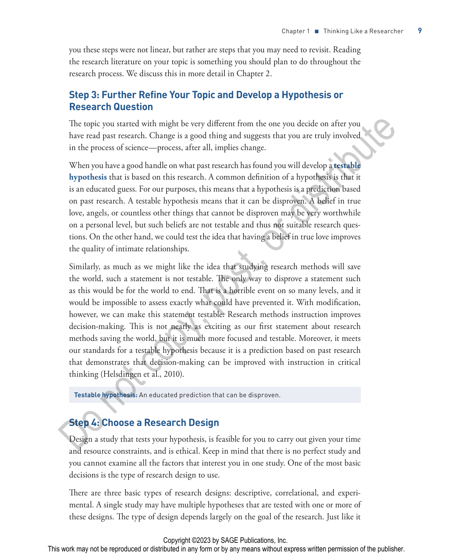you these steps were not linear, but rather are steps that you may need to revisit. Reading the research literature on your topic is something you should plan to do throughout the research process. We discuss this in more detail in Chapter 2.

### **Step 3: Further Refine Your Topic and Develop a Hypothesis or Research Question**

The topic you started with might be very different from the one you decide on after you have read past research. Change is a good thing and suggests that you are truly involved in the process of science—process, after all, implies change.

When you have a good handle on what past research has found you will develop a **testable hypothesis** that is based on this research. A common definition of a hypothesis is that it is an educated guess. For our purposes, this means that a hypothesis is a prediction based on past research. A testable hypothesis means that it can be disproven. A belief in true love, angels, or countless other things that cannot be disproven may be very worthwhile on a personal level, but such beliefs are not testable and thus not suitable research questions. On the other hand, we could test the idea that having a belief in true love improves the quality of intimate relationships.

Similarly, as much as we might like the idea that studying research methods will save the world, such a statement is not testable. The only way to disprove a statement such as this would be for the world to end. That is a horrible event on so many levels, and it would be impossible to assess exactly what could have prevented it. With modification, however, we can make this statement testable: Research methods instruction improves decision-making. This is not nearly as exciting as our first statement about research methods saving the world, but it is much more focused and testable. Moreover, it meets our standards for a testable hypothesis because it is a prediction based on past research that demonstrates that decision-making can be improved with instruction in critical thinking (Helsdingen et al., 2010). The topic you started with might be very different from the one you decide on after you have real past research. Change is a good thing and suggests that you are truly involved<br>the process of science—process, after all, i

**Testable hypothesis:** An educated prediction that can be disproven.

## **Step 4: Choose a Research Design**

Design a study that tests your hypothesis, is feasible for you to carry out given your time and resource constraints, and is ethical. Keep in mind that there is no perfect study and you cannot examine all the factors that interest you in one study. One of the most basic decisions is the type of research design to use.

There are three basic types of research designs: descriptive, correlational, and experimental. A single study may have multiple hypotheses that are tested with one or more of these designs. The type of design depends largely on the goal of the research. Just like it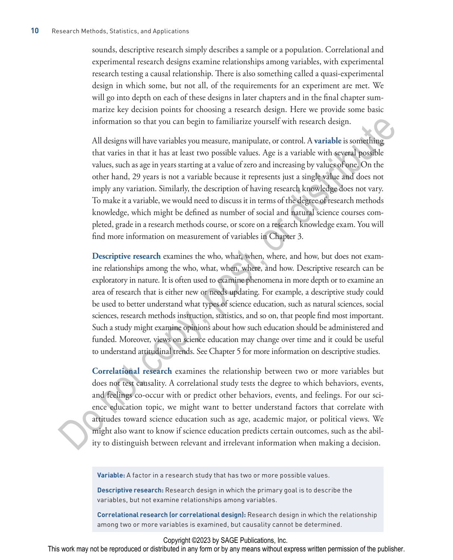sounds, descriptive research simply describes a sample or a population. Correlational and experimental research designs examine relationships among variables, with experimental research testing a causal relationship. There is also something called a quasi-experimental design in which some, but not all, of the requirements for an experiment are met. We will go into depth on each of these designs in later chapters and in the final chapter summarize key decision points for choosing a research design. Here we provide some basic information so that you can begin to familiarize yourself with research design.

All designs will have variables you measure, manipulate, or control. A **variable** is something that varies in that it has at least two possible values. Age is a variable with several possible values, such as age in years starting at a value of zero and increasing by values of one. On the other hand, 29 years is not a variable because it represents just a single value and does not imply any variation. Similarly, the description of having research knowledge does not vary. To make it a variable, we would need to discuss it in terms of the degree of research methods knowledge, which might be defined as number of social and natural science courses completed, grade in a research methods course, or score on a research knowledge exam. You will find more information on measurement of variables in Chapter 3. information so that you can begin to familiarize yourself with research design.<br>All designs will have variables you measure, manipulate, or control. A variable is something<br>that varies in that it has at least two possible

**Descriptive research** examines the who, what, when, where, and how, but does not examine relationships among the who, what, when, where, and how. Descriptive research can be exploratory in nature. It is often used to examine phenomena in more depth or to examine an area of research that is either new or needs updating. For example, a descriptive study could be used to better understand what types of science education, such as natural sciences, social sciences, research methods instruction, statistics, and so on, that people find most important. Such a study might examine opinions about how such education should be administered and funded. Moreover, views on science education may change over time and it could be useful to understand attitudinal trends. See Chapter 5 for more information on descriptive studies.

**Correlational research** examines the relationship between two or more variables but does not test causality. A correlational study tests the degree to which behaviors, events, and feelings co-occur with or predict other behaviors, events, and feelings. For our science education topic, we might want to better understand factors that correlate with attitudes toward science education such as age, academic major, or political views. We might also want to know if science education predicts certain outcomes, such as the ability to distinguish between relevant and irrelevant information when making a decision.

**Variable:** A factor in a research study that has two or more possible values.

**Descriptive research:** Research design in which the primary goal is to describe the variables, but not examine relationships among variables.

**Correlational research (or correlational design):** Research design in which the relationship among two or more variables is examined, but causality cannot be determined.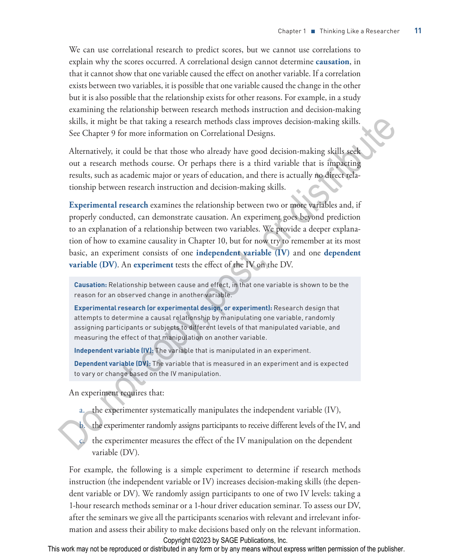We can use correlational research to predict scores, but we cannot use correlations to explain why the scores occurred. A correlational design cannot determine **causation**, in that it cannot show that one variable caused the effect on another variable. If a correlation exists between two variables, it is possible that one variable caused the change in the other but it is also possible that the relationship exists for other reasons. For example, in a study examining the relationship between research methods instruction and decision-making skills, it might be that taking a research methods class improves decision-making skills. See Chapter 9 for more information on Correlational Designs.

Alternatively, it could be that those who already have good decision-making skills seek out a research methods course. Or perhaps there is a third variable that is impacting results, such as academic major or years of education, and there is actually no direct relationship between research instruction and decision-making skills.

**Experimental research** examines the relationship between two or more variables and, if properly conducted, can demonstrate causation. An experiment goes beyond prediction to an explanation of a relationship between two variables. We provide a deeper explanation of how to examine causality in Chapter 10, but for now try to remember at its most basic, an experiment consists of one **independent variable (IV)** and one **dependent variable (DV)**. An **experiment** tests the effect of the IV on the DV. skills, in might be that taking a research methods class improves decision-making skills.<br>See Chapter 9 for more information on Correlational Designs.<br>Alternatively, it could be that those who already have good decision-ma

**Causation:** Relationship between cause and effect, in that one variable is shown to be the reason for an observed change in another variable.

**Experimental research (or experimental design, or experiment):** Research design that attempts to determine a causal relationship by manipulating one variable, randomly assigning participants or subjects to different levels of that manipulated variable, and measuring the effect of that manipulation on another variable.

**Independent variable (IV):** The variable that is manipulated in an experiment.

**Dependent variable (DV):** The variable that is measured in an experiment and is expected to vary or change based on the IV manipulation.

An experiment requires that:

- a. the experimenter systematically manipulates the independent variable (IV),
- b. the experimenter randomly assigns participants to receive different levels of the IV, and
	- the experimenter measures the effect of the IV manipulation on the dependent variable (DV).

For example, the following is a simple experiment to determine if research methods instruction (the independent variable or IV) increases decision-making skills (the dependent variable or DV). We randomly assign participants to one of two IV levels: taking a 1-hour research methods seminar or a 1-hour driver education seminar. To assess our DV, after the seminars we give all the participants scenarios with relevant and irrelevant information and assess their ability to make decisions based only on the relevant information. Copyright ©2023 by SAGE Publications, Inc.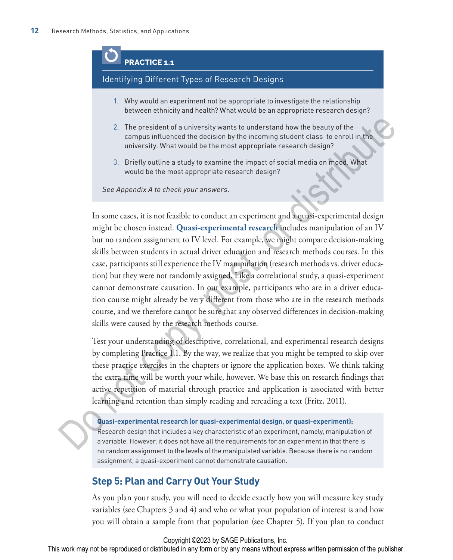

In some cases, it is not feasible to conduct an experiment and a quasi-experimental design might be chosen instead. **Quasi-experimental research** includes manipulation of an IV but no random assignment to IV level. For example, we might compare decision-making skills between students in actual driver education and research methods courses. In this case, participants still experience the IV manipulation (research methods vs. driver education) but they were not randomly assigned. Like a correlational study, a quasi-experiment cannot demonstrate causation. In our example, participants who are in a driver education course might already be very different from those who are in the research methods course, and we therefore cannot be sure that any observed differences in decision-making skills were caused by the research methods course. 2. The president of a university wants to understand how the beauty of the<br>
campus influenced the decision by the incoming student class to encol the<br>
university. What two university what to make appropriate research desi

Test your understanding of descriptive, correlational, and experimental research designs by completing Practice 1.1. By the way, we realize that you might be tempted to skip over these practice exercises in the chapters or ignore the application boxes. We think taking the extra time will be worth your while, however. We base this on research findings that active repetition of material through practice and application is associated with better learning and retention than simply reading and rereading a text (Fritz, 2011).

#### **Quasi-experimental research (or quasi-experimental design, or quasi-experiment):**

Research design that includes a key characteristic of an experiment, namely, manipulation of a variable. However, it does not have all the requirements for an experiment in that there is no random assignment to the levels of the manipulated variable. Because there is no random assignment, a quasi-experiment cannot demonstrate causation.

## **Step 5: Plan and Carry Out Your Study**

As you plan your study, you will need to decide exactly how you will measure key study variables (see Chapters 3 and 4) and who or what your population of interest is and how you will obtain a sample from that population (see Chapter 5). If you plan to conduct

Copyright ©2023 by SAGE Publications, Inc.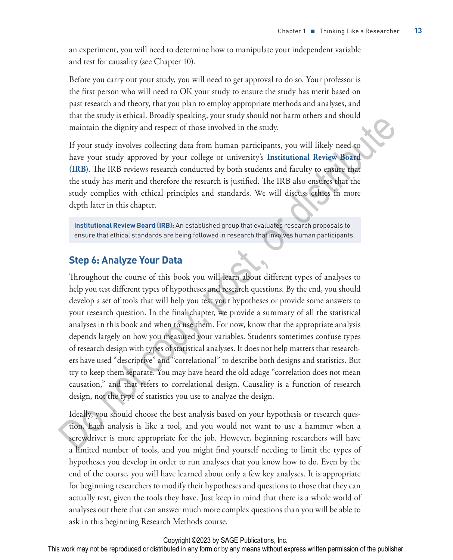an experiment, you will need to determine how to manipulate your independent variable and test for causality (see Chapter 10).

Before you carry out your study, you will need to get approval to do so. Your professor is the first person who will need to OK your study to ensure the study has merit based on past research and theory, that you plan to employ appropriate methods and analyses, and that the study is ethical. Broadly speaking, your study should not harm others and should maintain the dignity and respect of those involved in the study.

If your study involves collecting data from human participants, you will likely need to have your study approved by your college or university's **Institutional Review Board (IRB)**. The IRB reviews research conducted by both students and faculty to ensure that the study has merit and therefore the research is justified. The IRB also ensures that the study complies with ethical principles and standards. We will discuss ethics in more depth later in this chapter.

**Institutional Review Board (IRB):** An established group that evaluates research proposals to ensure that ethical standards are being followed in research that involves human participants.

### **Step 6: Analyze Your Data**

Throughout the course of this book you will learn about different types of analyses to help you test different types of hypotheses and research questions. By the end, you should develop a set of tools that will help you test your hypotheses or provide some answers to your research question. In the final chapter, we provide a summary of all the statistical analyses in this book and when to use them. For now, know that the appropriate analysis depends largely on how you measured your variables. Students sometimes confuse types of research design with types of statistical analyses. It does not help matters that researchers have used "descriptive" and "correlational" to describe both designs and statistics. But try to keep them separate. You may have heard the old adage "correlation does not mean causation," and that refers to correlational design. Causality is a function of research design, not the type of statistics you use to analyze the design. matrix the state of the state of the state of the state of the state of the state of the state of the state of the state of the state of the state of the state of the state of the state of the state of the state of the sta

Ideally, you should choose the best analysis based on your hypothesis or research question. Each analysis is like a tool, and you would not want to use a hammer when a screwdriver is more appropriate for the job. However, beginning researchers will have a limited number of tools, and you might find yourself needing to limit the types of hypotheses you develop in order to run analyses that you know how to do. Even by the end of the course, you will have learned about only a few key analyses. It is appropriate for beginning researchers to modify their hypotheses and questions to those that they can actually test, given the tools they have. Just keep in mind that there is a whole world of analyses out there that can answer much more complex questions than you will be able to ask in this beginning Research Methods course.

#### Copyright ©2023 by SAGE Publications, Inc.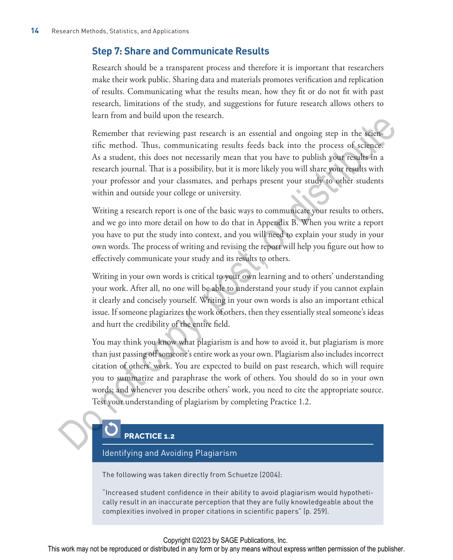### **Step 7: Share and Communicate Results**

Research should be a transparent process and therefore it is important that researchers make their work public. Sharing data and materials promotes verification and replication of results. Communicating what the results mean, how they fit or do not fit with past research, limitations of the study, and suggestions for future research allows others to learn from and build upon the research.

Remember that reviewing past research is an essential and ongoing step in the scientific method. Thus, communicating results feeds back into the process of science. As a student, this does not necessarily mean that you have to publish your results in a research journal. That is a possibility, but it is more likely you will share your results with your professor and your classmates, and perhaps present your study to other students within and outside your college or university. Remember that revive ingressions. The season is considered to the properties that revive and words of the process of schemes that product the method. Thus, communicating results freeds that to the process of schemes the pr

Writing a research report is one of the basic ways to communicate your results to others, and we go into more detail on how to do that in Appendix B. When you write a report you have to put the study into context, and you will need to explain your study in your own words. The process of writing and revising the report will help you figure out how to effectively communicate your study and its results to others.

Writing in your own words is critical to your own learning and to others' understanding your work. After all, no one will be able to understand your study if you cannot explain it clearly and concisely yourself. Writing in your own words is also an important ethical issue. If someone plagiarizes the work of others, then they essentially steal someone's ideas and hurt the credibility of the entire field.

You may think you know what plagiarism is and how to avoid it, but plagiarism is more than just passing off someone's entire work as your own. Plagiarism also includes incorrect citation of others' work. You are expected to build on past research, which will require you to summarize and paraphrase the work of others. You should do so in your own words; and whenever you describe others' work, you need to cite the appropriate source. Test your understanding of plagiarism by completing Practice 1.2.

## **PRACTICE 1.2**

#### Identifying and Avoiding Plagiarism

The following was taken directly from Schuetze (2004):

"Increased student confidence in their ability to avoid plagiarism would hypothetically result in an inaccurate perception that they are fully knowledgeable about the complexities involved in proper citations in scientific papers" (p. 259).

#### Copyright ©2023 by SAGE Publications, Inc.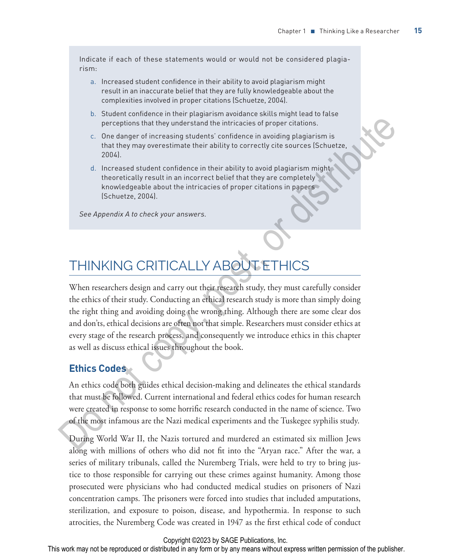Indicate if each of these statements would or would not be considered plagiarism:

- a. Increased student confidence in their ability to avoid plagiarism might result in an inaccurate belief that they are fully knowledgeable about the complexities involved in proper citations (Schuetze, 2004).
- b. Student confidence in their plagiarism avoidance skills might lead to false perceptions that they understand the intricacies of proper citations.
- c. One danger of increasing students' confidence in avoiding plagiarism is that they may overestimate their ability to correctly cite sources (Schuetze, 2004).
- d. Increased student confidence in their ability to avoid plagiarism might theoretically result in an incorrect belief that they are completely knowledgeable about the intricacies of proper citations in papers (Schuetze, 2004).

*See Appendix A to check your answers.*

## THINKING CRITICALLY ABOUT ETHICS

When researchers design and carry out their research study, they must carefully consider the ethics of their study. Conducting an ethical research study is more than simply doing the right thing and avoiding doing the wrong thing. Although there are some clear dos and don'ts, ethical decisions are often not that simple. Researchers must consider ethics at every stage of the research process, and consequently we introduce ethics in this chapter as well as discuss ethical issues throughout the book. perceptions that they understand the intricacies of proper citations.<br>
c. One danger of increasing students contidence in avoiding plagiarism is<br>
that they may overestimate their ability to correctly cits agences (Schuetze

### **Ethics Codes**

An ethics code both guides ethical decision-making and delineates the ethical standards that must be followed. Current international and federal ethics codes for human research were created in response to some horrific research conducted in the name of science. Two of the most infamous are the Nazi medical experiments and the Tuskegee syphilis study.

During World War II, the Nazis tortured and murdered an estimated six million Jews along with millions of others who did not fit into the "Aryan race." After the war, a series of military tribunals, called the Nuremberg Trials, were held to try to bring justice to those responsible for carrying out these crimes against humanity. Among those prosecuted were physicians who had conducted medical studies on prisoners of Nazi concentration camps. The prisoners were forced into studies that included amputations, sterilization, and exposure to poison, disease, and hypothermia. In response to such atrocities, the Nuremberg Code was created in 1947 as the first ethical code of conduct

#### Copyright ©2023 by SAGE Publications, Inc.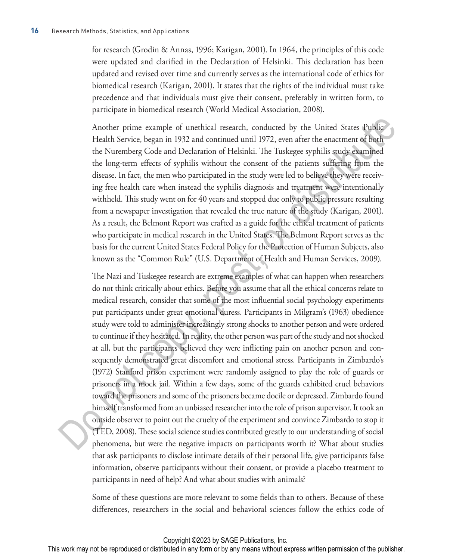for research (Grodin & Annas, 1996; Karigan, 2001). In 1964, the principles of this code were updated and clarified in the Declaration of Helsinki. This declaration has been updated and revised over time and currently serves as the international code of ethics for biomedical research (Karigan, 2001). It states that the rights of the individual must take precedence and that individuals must give their consent, preferably in written form, to participate in biomedical research (World Medical Association, 2008).

Another prime example of unethical research, conducted by the United States Public Health Service, began in 1932 and continued until 1972, even after the enactment of both the Nuremberg Code and Declaration of Helsinki. The Tuskegee syphilis study examined the long-term effects of syphilis without the consent of the patients suffering from the disease. In fact, the men who participated in the study were led to believe they were receiving free health care when instead the syphilis diagnosis and treatment were intentionally withheld. This study went on for 40 years and stopped due only to public pressure resulting from a newspaper investigation that revealed the true nature of the study (Karigan, 2001). As a result, the Belmont Report was crafted as a guide for the ethical treatment of patients who participate in medical research in the United States. The Belmont Report serves as the basis for the current United States Federal Policy for the Protection of Human Subjects, also known as the "Common Rule" (U.S. Department of Health and Human Services, 2009).

The Nazi and Tuskegee research are extreme examples of what can happen when researchers do not think critically about ethics. Before you assume that all the ethical concerns relate to medical research, consider that some of the most influential social psychology experiments put participants under great emotional duress. Participants in Milgram's (1963) obedience study were told to administer increasingly strong shocks to another person and were ordered to continue if they hesitated. In reality, the other person was part of the study and not shocked at all, but the participants believed they were inflicting pain on another person and consequently demonstrated great discomfort and emotional stress. Participants in Zimbardo's (1972) Stanford prison experiment were randomly assigned to play the role of guards or prisoners in a mock jail. Within a few days, some of the guards exhibited cruel behaviors toward the prisoners and some of the prisoners became docile or depressed. Zimbardo found himself transformed from an unbiased researcher into the role of prison supervisor. It took an outside observer to point out the cruelty of the experiment and convince Zimbardo to stop it (TED, 2008). These social science studies contributed greatly to our understanding of social phenomena, but were the negative impacts on participants worth it? What about studies that ask participants to disclose intimate details of their personal life, give participants false information, observe participants without their consent, or provide a placebo treatment to participants in need of help? And what about studies with animals? Another prime example of unteltival research, conducted by the United States Public<br>Health Service, began in 1932 and continued until 1972, even after the enactment of boah<br>the Nucmberg Code and Declaration of Helsinki. T

Some of these questions are more relevant to some fields than to others. Because of these differences, researchers in the social and behavioral sciences follow the ethics code of

Copyright ©2023 by SAGE Publications, Inc.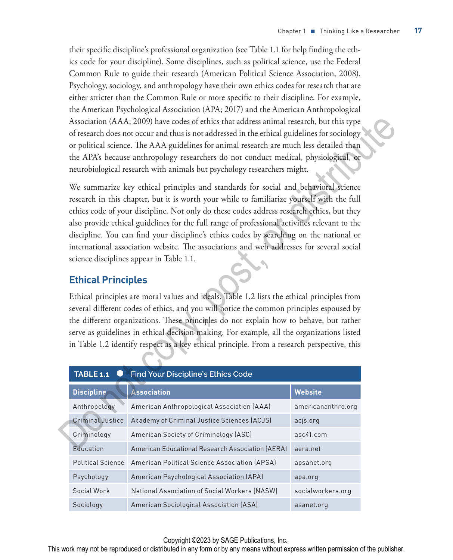their specific discipline's professional organization (see Table 1.1 for help finding the ethics code for your discipline). Some disciplines, such as political science, use the Federal Common Rule to guide their research (American Political Science Association, 2008). Psychology, sociology, and anthropology have their own ethics codes for research that are either stricter than the Common Rule or more specific to their discipline. For example, the American Psychological Association (APA; 2017) and the American Anthropological Association (AAA; 2009) have codes of ethics that address animal research, but this type of research does not occur and thus is not addressed in the ethical guidelines for sociology or political science. The AAA guidelines for animal research are much less detailed than the APA's because anthropology researchers do not conduct medical, physiological, or neurobiological research with animals but psychology researchers might.

### **Ethical Principles**

|                           | Association (AAA; 2009) have codes of ethics that address animal research, but this type<br>of research does not occur and thus is not addressed in the ethical guidelines for sociology<br>or political science. The AAA guidelines for animal research are much less detailed than<br>the APA's because anthropology researchers do not conduct medical, physiological, or<br>neurobiological research with animals but psychology researchers might.<br>We summarize key ethical principles and standards for social and behavioral science<br>research in this chapter, but it is worth your while to familiarize yourself with the full<br>ethics code of your discipline. Not only do these codes address research ethics, but they<br>also provide ethical guidelines for the full range of professional activities relevant to the<br>discipline. You can find your discipline's ethics codes by searching on the national or<br>international association website. The associations and web addresses for several social<br>science disciplines appear in Table 1.1. |                                                  |                    |  |  |  |  |
|---------------------------|-------------------------------------------------------------------------------------------------------------------------------------------------------------------------------------------------------------------------------------------------------------------------------------------------------------------------------------------------------------------------------------------------------------------------------------------------------------------------------------------------------------------------------------------------------------------------------------------------------------------------------------------------------------------------------------------------------------------------------------------------------------------------------------------------------------------------------------------------------------------------------------------------------------------------------------------------------------------------------------------------------------------------------------------------------------------------------|--------------------------------------------------|--------------------|--|--|--|--|
|                           |                                                                                                                                                                                                                                                                                                                                                                                                                                                                                                                                                                                                                                                                                                                                                                                                                                                                                                                                                                                                                                                                               |                                                  |                    |  |  |  |  |
| <b>Ethical Principles</b> |                                                                                                                                                                                                                                                                                                                                                                                                                                                                                                                                                                                                                                                                                                                                                                                                                                                                                                                                                                                                                                                                               |                                                  |                    |  |  |  |  |
|                           | Ethical principles are moral values and ideals. Table 1.2 lists the ethical principles from<br>several different codes of ethics, and you will notice the common principles espoused by<br>the different organizations. These principles do not explain how to behave, but rather<br>serve as guidelines in ethical decision-making. For example, all the organizations listed<br>in Table 1.2 identify respect as a key ethical principle. From a research perspective, this<br><b>TABLE 1.1</b><br>Find Your Discipline's Ethics Code                                                                                                                                                                                                                                                                                                                                                                                                                                                                                                                                       |                                                  |                    |  |  |  |  |
|                           | <b>Discipline</b>                                                                                                                                                                                                                                                                                                                                                                                                                                                                                                                                                                                                                                                                                                                                                                                                                                                                                                                                                                                                                                                             | <b>Association</b>                               | <b>Website</b>     |  |  |  |  |
|                           | Anthropology                                                                                                                                                                                                                                                                                                                                                                                                                                                                                                                                                                                                                                                                                                                                                                                                                                                                                                                                                                                                                                                                  | American Anthropological Association (AAA)       | americananthro.org |  |  |  |  |
|                           | <b>Criminal Justice</b>                                                                                                                                                                                                                                                                                                                                                                                                                                                                                                                                                                                                                                                                                                                                                                                                                                                                                                                                                                                                                                                       | Academy of Criminal Justice Sciences (ACJS)      | acjs.org           |  |  |  |  |
|                           | Criminology                                                                                                                                                                                                                                                                                                                                                                                                                                                                                                                                                                                                                                                                                                                                                                                                                                                                                                                                                                                                                                                                   | American Society of Criminology (ASC)            | asc41.com          |  |  |  |  |
|                           | Education                                                                                                                                                                                                                                                                                                                                                                                                                                                                                                                                                                                                                                                                                                                                                                                                                                                                                                                                                                                                                                                                     | American Educational Research Association (AERA) | aera.net           |  |  |  |  |
|                           | <b>Political Science</b>                                                                                                                                                                                                                                                                                                                                                                                                                                                                                                                                                                                                                                                                                                                                                                                                                                                                                                                                                                                                                                                      | American Political Science Association (APSA)    | apsanet.org        |  |  |  |  |
|                           | Psychology                                                                                                                                                                                                                                                                                                                                                                                                                                                                                                                                                                                                                                                                                                                                                                                                                                                                                                                                                                                                                                                                    | American Psychological Association (APA)         | apa.org            |  |  |  |  |
|                           | Social Work                                                                                                                                                                                                                                                                                                                                                                                                                                                                                                                                                                                                                                                                                                                                                                                                                                                                                                                                                                                                                                                                   | National Association of Social Workers (NASW)    | socialworkers.org  |  |  |  |  |
|                           | Sociology                                                                                                                                                                                                                                                                                                                                                                                                                                                                                                                                                                                                                                                                                                                                                                                                                                                                                                                                                                                                                                                                     | American Sociological Association (ASA)          | asanet.org         |  |  |  |  |

#### Copyright ©2023 by SAGE Publications, Inc.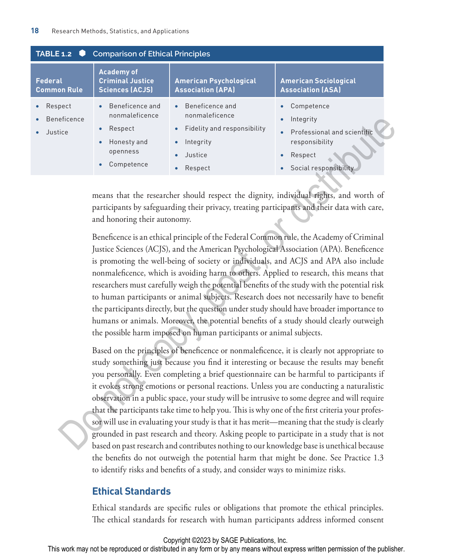| <b>IABLE 1.2</b> • Comparison of Ethical Principles         |                                                                                                                                           |                                                                                                                                                                      |                                                                                                                                                     |  |  |  |  |
|-------------------------------------------------------------|-------------------------------------------------------------------------------------------------------------------------------------------|----------------------------------------------------------------------------------------------------------------------------------------------------------------------|-----------------------------------------------------------------------------------------------------------------------------------------------------|--|--|--|--|
| <b>Federal</b><br><b>Common Rule</b>                        | <b>Academy of</b><br><b>Criminal Justice</b><br><b>Sciences (ACJS)</b>                                                                    | <b>American Psychological</b><br><b>Association (APA)</b>                                                                                                            | <b>American Sociological</b><br><b>Association (ASA)</b>                                                                                            |  |  |  |  |
| Respect<br>Beneficence<br>$\bullet$<br>Justice<br>$\bullet$ | Beneficence and<br>$\bullet$<br>nonmaleficence<br>Respect<br>$\bullet$<br>Honesty and<br>$\bullet$<br>openness<br>Competence<br>$\bullet$ | Beneficence and<br>$\bullet$<br>nonmaleficence<br>Fidelity and responsibility<br>$\bullet$<br>Integrity<br>$\bullet$<br>Justice<br>$\bullet$<br>Respect<br>$\bullet$ | Competence<br>$\bullet$<br>Integrity<br>$\bullet$<br>Professional and scientific<br>responsibility<br>Respect<br>$\bullet$<br>Social responsibility |  |  |  |  |

#### **TABLE 1.2 Comparison of Ethical Principles**

means that the researcher should respect the dignity, individual rights, and worth of participants by safeguarding their privacy, treating participants and their data with care, and honoring their autonomy.

Beneficence is an ethical principle of the Federal Common rule, the Academy of Criminal Justice Sciences (ACJS), and the American Psychological Association (APA). Beneficence is promoting the well-being of society or individuals, and ACJS and APA also include nonmaleficence, which is avoiding harm to others. Applied to research, this means that researchers must carefully weigh the potential benefits of the study with the potential risk to human participants or animal subjects. Research does not necessarily have to benefit the participants directly, but the question under study should have broader importance to humans or animals. Moreover, the potential benefits of a study should clearly outweigh the possible harm imposed on human participants or animal subjects. Finance<br>
Conservant Conservation of Findelity and responsibility<br>
Conservant Conservation of Processional and scientific<br>
Conservation of the metric of the metric of the science<br>
Conservation of the participants and their

Based on the principles of beneficence or nonmaleficence, it is clearly not appropriate to study something just because you find it interesting or because the results may benefit you personally. Even completing a brief questionnaire can be harmful to participants if it evokes strong emotions or personal reactions. Unless you are conducting a naturalistic observation in a public space, your study will be intrusive to some degree and will require that the participants take time to help you. This is why one of the first criteria your professor will use in evaluating your study is that it has merit—meaning that the study is clearly grounded in past research and theory. Asking people to participate in a study that is not based on past research and contributes nothing to our knowledge base is unethical because the benefits do not outweigh the potential harm that might be done. See Practice 1.3 to identify risks and benefits of a study, and consider ways to minimize risks.

### **Ethical Standards**

Ethical standards are specific rules or obligations that promote the ethical principles. The ethical standards for research with human participants address informed consent

#### Copyright ©2023 by SAGE Publications, Inc.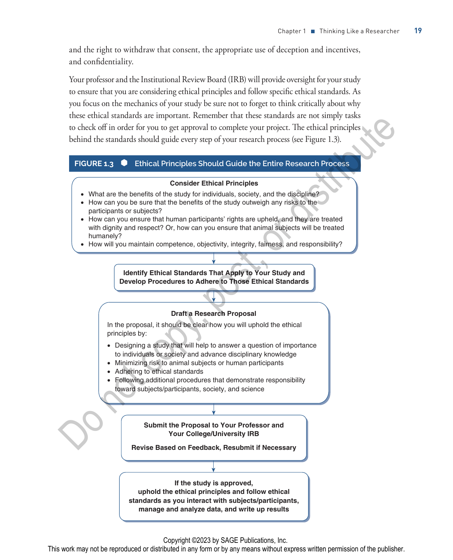and the right to withdraw that consent, the appropriate use of deception and incentives, and confidentiality.

Your professor and the Institutional Review Board (IRB) will provide oversight for your study to ensure that you are considering ethical principles and follow specific ethical standards. As you focus on the mechanics of your study be sure not to forget to think critically about why these ethical standards are important. Remember that these standards are not simply tasks to check off in order for you to get approval to complete your project. The ethical principles behind the standards should guide every step of your research process (see Figure 1.3). the standard simulation of the method is a method in the control of the control of the control of the control of the control of the control of the control of the control of the standards should guide every step of your res

#### **FIGURE 1.3 Ethical Principles Should Guide the Entire Research Process**

#### **Consider Ethical Principles**

- What are the benefits of the study for individuals, society, and the discipline?
- How can you be sure that the benefits of the study outweigh any risks to the participants or subjects?
- How can you ensure that human participants' rights are upheld, and they are treated with dignity and respect? Or, how can you ensure that animal subjects will be treated humanely?
- How will you maintain competence, objectivity, integrity, fairness, and responsibility?

**Identify Ethical Standards That Apply to Your Study and Develop Procedures to Adhere to Those Ethical Standards**

#### **Draft a Research Proposal**

In the proposal, it should be clear how you will uphold the ethical principles by:

- Designing a study that will help to answer a question of importance to individuals or society and advance disciplinary knowledge
- Minimizing risk to animal subjects or human participants
- Adhering to ethical standards
- Following additional procedures that demonstrate responsibility toward subjects/participants, society, and science

**Submit the Proposal to Your Professor and Your College/University IRB**

**Revise Based on Feedback, Resubmit if Necessary**

**If the study is approved, uphold the ethical principles and follow ethical standards as you interact with subjects/participants, manage and analyze data, and write up results**

Copyright ©2023 by SAGE Publications, Inc.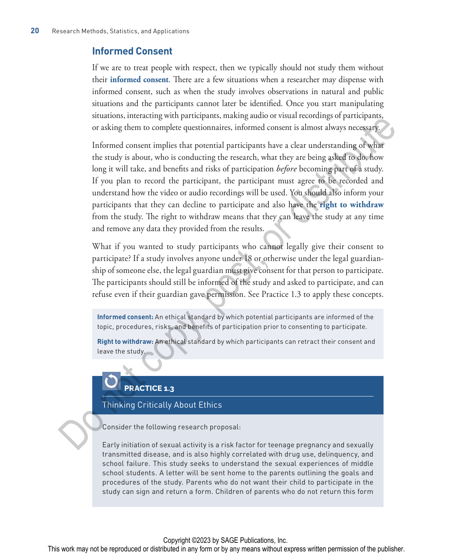### **Informed Consent**

If we are to treat people with respect, then we typically should not study them without their **informed consent**. There are a few situations when a researcher may dispense with informed consent, such as when the study involves observations in natural and public situations and the participants cannot later be identified. Once you start manipulating situations, interacting with participants, making audio or visual recordings of participants, or asking them to complete questionnaires, informed consent is almost always necessary.

Informed consent implies that potential participants have a clear understanding of what the study is about, who is conducting the research, what they are being asked to do, how long it will take, and benefits and risks of participation *before* becoming part of a study. If you plan to record the participant, the participant must agree to be recorded and understand how the video or audio recordings will be used. You should also inform your participants that they can decline to participate and also have the **right to withdraw**  from the study. The right to withdraw means that they can leave the study at any time and remove any data they provided from the results. and mean three qualitations in the properties and the study and the study of participants and the properties and the study is about, who is conducting the research, what they are being asked codos from long the ill take, a

What if you wanted to study participants who cannot legally give their consent to participate? If a study involves anyone under 18 or otherwise under the legal guardianship of someone else, the legal guardian must give consent for that person to participate. The participants should still be informed of the study and asked to participate, and can refuse even if their guardian gave permission. See Practice 1.3 to apply these concepts.

**Informed consent:** An ethical standard by which potential participants are informed of the topic, procedures, risks, and benefits of participation prior to consenting to participate.

**Right to withdraw:** An ethical standard by which participants can retract their consent and leave the study.

**PRACTICE 1.3**

Thinking Critically About Ethics

Consider the following research proposal:

Early initiation of sexual activity is a risk factor for teenage pregnancy and sexually transmitted disease, and is also highly correlated with drug use, delinquency, and school failure. This study seeks to understand the sexual experiences of middle school students. A letter will be sent home to the parents outlining the goals and procedures of the study. Parents who do not want their child to participate in the study can sign and return a form. Children of parents who do not return this form

#### Copyright ©2023 by SAGE Publications, Inc.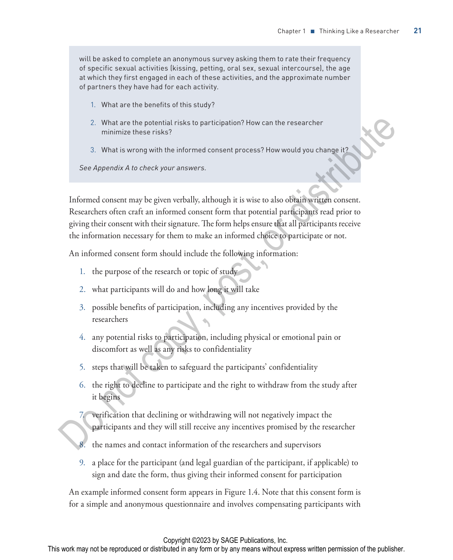will be asked to complete an anonymous survey asking them to rate their frequency of specific sexual activities (kissing, petting, oral sex, sexual intercourse), the age at which they first engaged in each of these activities, and the approximate number of partners they have had for each activity.

- 1. What are the benefits of this study?
- 2. What are the potential risks to participation? How can the researcher minimize these risks?
- 3. What is wrong with the informed consent process? How would you change it?

*See Appendix A to check your answers.*

Informed consent may be given verbally, although it is wise to also obtain written consent. Researchers often craft an informed consent form that potential participants read prior to giving their consent with their signature. The form helps ensure that all participants receive the information necessary for them to make an informed choice to participate or not. 2. What are the potential risks to participation? How can the researcher<br>minimize these risks?<br>
3. What is wrong with the informed consent process? How would you change it?<br>
3. What is wrong with the informed consent proc

An informed consent form should include the following information:

- 1. the purpose of the research or topic of study
- 2. what participants will do and how long it will take
- 3. possible benefits of participation, including any incentives provided by the researchers
- 4. any potential risks to participation, including physical or emotional pain or discomfort as well as any risks to confidentiality
- 5. steps that will be taken to safeguard the participants' confidentiality
- 6. the right to decline to participate and the right to withdraw from the study after it begins
	- verification that declining or withdrawing will not negatively impact the participants and they will still receive any incentives promised by the researcher
- 8. the names and contact information of the researchers and supervisors
- 9. a place for the participant (and legal guardian of the participant, if applicable) to sign and date the form, thus giving their informed consent for participation

An example informed consent form appears in Figure 1.4. Note that this consent form is for a simple and anonymous questionnaire and involves compensating participants with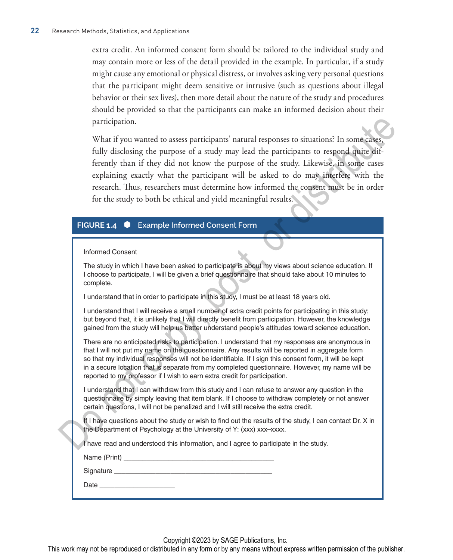extra credit. An informed consent form should be tailored to the individual study and may contain more or less of the detail provided in the example. In particular, if a study might cause any emotional or physical distress, or involves asking very personal questions that the participant might deem sensitive or intrusive (such as questions about illegal behavior or their sex lives), then more detail about the nature of the study and procedures should be provided so that the participants can make an informed decision about their participation.

What if you wanted to assess participants' natural responses to situations? In some cases, fully disclosing the purpose of a study may lead the participants to respond quite differently than if they did not know the purpose of the study. Likewise, in some cases explaining exactly what the participant will be asked to do may interfere with the research. Thus, researchers must determine how informed the consent must be in order for the study to both be ethical and yield meaningful results. participation.<br>
What if you wanted to assess participants' natural responses to situations? In some cases<br>
fully dissioning the purpose of a study may lead the participants to respond quice the<br>
ferently than if they did

#### **FIGURE 1.4 Example Informed Consent Form**

#### Informed Consent

The study in which I have been asked to participate is about my views about science education. If I choose to participate, I will be given a brief questionnaire that should take about 10 minutes to complete.

I understand that in order to participate in this study, I must be at least 18 years old.

I understand that I will receive a small number of extra credit points for participating in this study; but beyond that, it is unlikely that I will directly benefit from participation. However, the knowledge gained from the study will help us better understand people's attitudes toward science education.

There are no anticipated risks to participation. I understand that my responses are anonymous in that I will not put my name on the questionnaire. Any results will be reported in aggregate form so that my individual responses will not be identifiable. If I sign this consent form, it will be kept in a secure location that is separate from my completed questionnaire. However, my name will be reported to my professor if I wish to earn extra credit for participation.

I understand that I can withdraw from this study and I can refuse to answer any question in the questionnaire by simply leaving that item blank. If I choose to withdraw completely or not answer certain questions, I will not be penalized and I will still receive the extra credit.

If I have questions about the study or wish to find out the results of the study, I can contact Dr. X in the Department of Psychology at the University of Y: (xxx) xxx–xxxx.

I have read and understood this information, and I agree to participate in the study.

Name (Print)

Signature **and the set of the set of the set of the set of the set of the set of the set of the set of the set o** 

Date

Copyright ©2023 by SAGE Publications, Inc.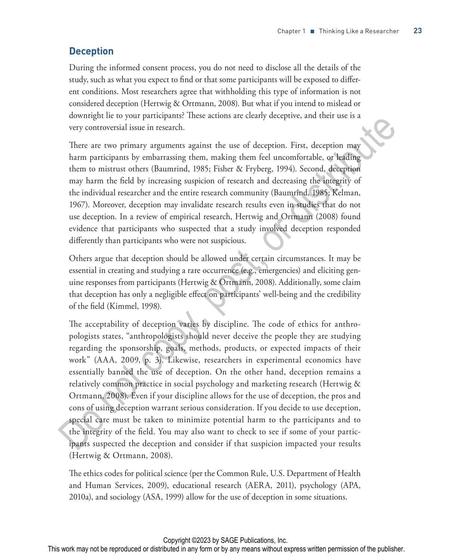## **Deception**

During the informed consent process, you do not need to disclose all the details of the study, such as what you expect to find or that some participants will be exposed to different conditions. Most researchers agree that withholding this type of information is not considered deception (Hertwig & Ortmann, 2008). But what if you intend to mislead or downright lie to your participants? These actions are clearly deceptive, and their use is a very controversial issue in research.

There are two primary arguments against the use of deception. First, deception may harm participants by embarrassing them, making them feel uncomfortable, or leading them to mistrust others (Baumrind, 1985; Fisher & Fryberg, 1994). Second, deception may harm the field by increasing suspicion of research and decreasing the integrity of the individual researcher and the entire research community (Baumrind, 1985; Kelman, 1967). Moreover, deception may invalidate research results even in studies that do not use deception. In a review of empirical research, Hertwig and Ortmann (2008) found evidence that participants who suspected that a study involved deception responded differently than participants who were not suspicious.

Others argue that deception should be allowed under certain circumstances. It may be essential in creating and studying a rare occurrence (e.g., emergencies) and eliciting genuine responses from participants (Hertwig & Ortmann, 2008). Additionally, some claim that deception has only a negligible effect on participants' well-being and the credibility of the field (Kimmel, 1998).

The acceptability of deception varies by discipline. The code of ethics for anthropologists states, "anthropologists should never deceive the people they are studying regarding the sponsorship, goals, methods, products, or expected impacts of their work" (AAA, 2009, p. 3). Likewise, researchers in experimental economics have essentially banned the use of deception. On the other hand, deception remains a relatively common practice in social psychology and marketing research (Hertwig & Ortmann, 2008). Even if your discipline allows for the use of deception, the pros and cons of using deception warrant serious consideration. If you decide to use deception, special care must be taken to minimize potential harm to the participants and to the integrity of the field. You may also want to check to see if some of your participants suspected the deception and consider if that suspicion impacted your results (Hertwig & Ortmann, 2008). when the to your participants. Interaction, and the complete and the participants are computed in the tect of deception. First, deception may<br>harm participants by embarrassing them, making them feel uncomfortable, or leadi

The ethics codes for political science (per the Common Rule, U.S. Department of Health and Human Services, 2009), educational research (AERA, 2011), psychology (APA, 2010a), and sociology (ASA, 1999) allow for the use of deception in some situations.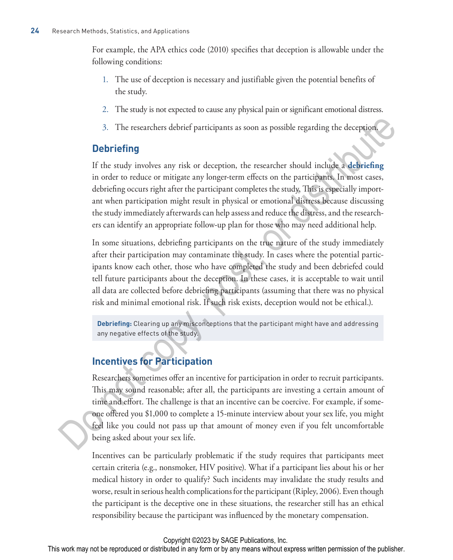For example, the APA ethics code (2010) specifies that deception is allowable under the following conditions:

- 1. The use of deception is necessary and justifiable given the potential benefits of the study.
- 2. The study is not expected to cause any physical pain or significant emotional distress.
- 3. The researchers debrief participants as soon as possible regarding the deception.

## **Debriefing**

If the study involves any risk or deception, the researcher should include a **debriefing**  in order to reduce or mitigate any longer-term effects on the participants. In most cases, debriefing occurs right after the participant completes the study. This is especially important when participation might result in physical or emotional distress because discussing the study immediately afterwards can help assess and reduce the distress, and the researchers can identify an appropriate follow-up plan for those who may need additional help. 3. The researchers debrief participants as soon as possible regarding the deception.<br> **Debriefing**<br>
If the study involves any risk or deception, the researcher should include a deforeining<br>
in order to reduce or mitigate

In some situations, debriefing participants on the true nature of the study immediately after their participation may contaminate the study. In cases where the potential participants know each other, those who have completed the study and been debriefed could tell future participants about the deception. In these cases, it is acceptable to wait until all data are collected before debriefing participants (assuming that there was no physical risk and minimal emotional risk. If such risk exists, deception would not be ethical.).

**Debriefing:** Clearing up any misconceptions that the participant might have and addressing any negative effects of the study.

## **Incentives for Participation**

Researchers sometimes offer an incentive for participation in order to recruit participants. This may sound reasonable; after all, the participants are investing a certain amount of time and effort. The challenge is that an incentive can be coercive. For example, if someone offered you \$1,000 to complete a 15-minute interview about your sex life, you might feel like you could not pass up that amount of money even if you felt uncomfortable being asked about your sex life.

Incentives can be particularly problematic if the study requires that participants meet certain criteria (e.g., nonsmoker, HIV positive). What if a participant lies about his or her medical history in order to qualify? Such incidents may invalidate the study results and worse, result in serious health complications for the participant (Ripley, 2006). Even though the participant is the deceptive one in these situations, the researcher still has an ethical responsibility because the participant was influenced by the monetary compensation.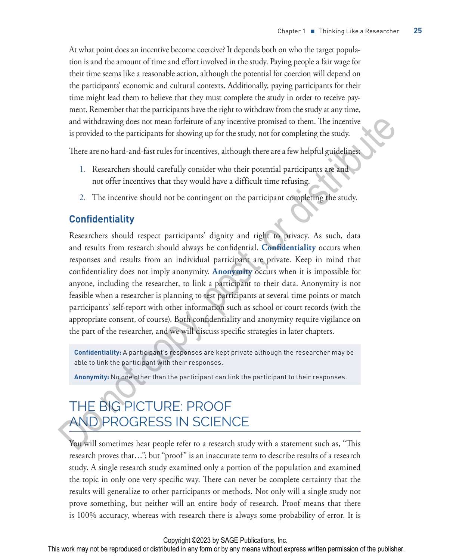At what point does an incentive become coercive? It depends both on who the target population is and the amount of time and effort involved in the study. Paying people a fair wage for their time seems like a reasonable action, although the potential for coercion will depend on the participants' economic and cultural contexts. Additionally, paying participants for their time might lead them to believe that they must complete the study in order to receive payment. Remember that the participants have the right to withdraw from the study at any time, and withdrawing does not mean forfeiture of any incentive promised to them. The incentive is provided to the participants for showing up for the study, not for completing the study.

There are no hard-and-fast rules for incentives, although there are a few helpful guidelines:

- 1. Researchers should carefully consider who their potential participants are and not offer incentives that they would have a difficult time refusing.
- 2. The incentive should not be contingent on the participant completing the study.

## **Confidentiality**

Researchers should respect participants' dignity and right to privacy. As such, data and results from research should always be confidential. **Confidentiality** occurs when responses and results from an individual participant are private. Keep in mind that confidentiality does not imply anonymity. **Anonymity** occurs when it is impossible for anyone, including the researcher, to link a participant to their data. Anonymity is not feasible when a researcher is planning to test participants at several time points or match participants' self-report with other information such as school or court records (with the appropriate consent, of course). Both confidentiality and anonymity require vigilance on the part of the researcher, and we will discuss specific strategies in later chapters. and withdrawing does not mean forfeiture of any incentive promised to them. The incentive is provided to the participants for showing up for the study, not for completing the study.<br>
There are no hard-and-fast rutles for i

**Confidentiality:** A participant's responses are kept private although the researcher may be able to link the participant with their responses.

**Anonymity:** No one other than the participant can link the participant to their responses.

## THE BIG PICTURE: PROOF AND PROGRESS IN SCIENCE

You will sometimes hear people refer to a research study with a statement such as, "This research proves that…"; but "proof" is an inaccurate term to describe results of a research study. A single research study examined only a portion of the population and examined the topic in only one very specific way. There can never be complete certainty that the results will generalize to other participants or methods. Not only will a single study not prove something, but neither will an entire body of research. Proof means that there is 100% accuracy, whereas with research there is always some probability of error. It is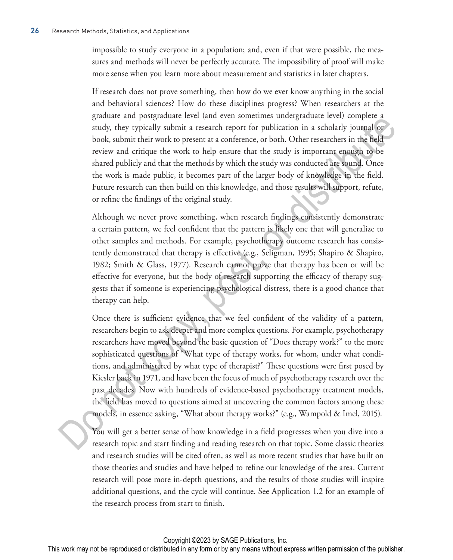impossible to study everyone in a population; and, even if that were possible, the measures and methods will never be perfectly accurate. The impossibility of proof will make more sense when you learn more about measurement and statistics in later chapters.

If research does not prove something, then how do we ever know anything in the social and behavioral sciences? How do these disciplines progress? When researchers at the graduate and postgraduate level (and even sometimes undergraduate level) complete a study, they typically submit a research report for publication in a scholarly journal or book, submit their work to present at a conference, or both. Other researchers in the field review and critique the work to help ensure that the study is important enough to be shared publicly and that the methods by which the study was conducted are sound. Once the work is made public, it becomes part of the larger body of knowledge in the field. Future research can then build on this knowledge, and those results will support, refute, or refine the findings of the original study.

Although we never prove something, when research findings consistently demonstrate a certain pattern, we feel confident that the pattern is likely one that will generalize to other samples and methods. For example, psychotherapy outcome research has consistently demonstrated that therapy is effective (e.g., Seligman, 1995; Shapiro & Shapiro, 1982; Smith & Glass, 1977). Research cannot prove that therapy has been or will be effective for everyone, but the body of research supporting the efficacy of therapy suggests that if someone is experiencing psychological distress, there is a good chance that therapy can help.

Once there is sufficient evidence that we feel confident of the validity of a pattern, researchers begin to ask deeper and more complex questions. For example, psychotherapy researchers have moved beyond the basic question of "Does therapy work?" to the more sophisticated questions of "What type of therapy works, for whom, under what conditions, and administered by what type of therapist?" These questions were first posed by Kiesler back in 1971, and have been the focus of much of psychotherapy research over the past decades. Now with hundreds of evidence-based psychotherapy treatment models, the field has moved to questions aimed at uncovering the common factors among these models, in essence asking, "What about therapy works?" (e.g., Wampold & Imel, 2015). study, they typically submit a research report for publication in a scholarly journal of<br>study, they typically submit a research report for publication in a scholarly journal of<br>book, submit their work to present at a conf

You will get a better sense of how knowledge in a field progresses when you dive into a research topic and start finding and reading research on that topic. Some classic theories and research studies will be cited often, as well as more recent studies that have built on those theories and studies and have helped to refine our knowledge of the area. Current research will pose more in-depth questions, and the results of those studies will inspire additional questions, and the cycle will continue. See Application 1.2 for an example of the research process from start to finish.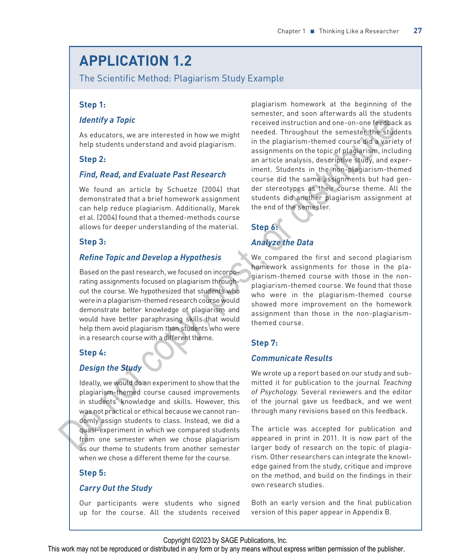## **APPLICATION 1.2**

The Scientific Method: Plagiarism Study Example

#### **Step 1:**

#### *Identify a Topic*

As educators, we are interested in how we might help students understand and avoid plagiarism.

#### **Step 2:**

#### *Find, Read, and Evaluate Past Research*

We found an article by Schuetze (2004) that demonstrated that a brief homework assignment can help reduce plagiarism. Additionally, Marek et al. (2004) found that a themed-methods course allows for deeper understanding of the material.

#### **Step 3:**

#### *Refine Topic and Develop a Hypothesis*

Based on the past research, we focused on incorporating assignments focused on plagiarism throughout the course. We hypothesized that students who were in a plagiarism-themed research course would demonstrate better knowledge of plagiarism and would have better paraphrasing skills that would help them avoid plagiarism than students who were in a research course with a different theme.

#### **Step 4:**

#### *Design the Study*

Ideally, we would do an experiment to show that the plagiarism-themed course caused improvements in students' knowledge and skills. However, this was not practical or ethical because we cannot randomly assign students to class. Instead, we did a quasi-experiment in which we compared students from one semester when we chose plagiarism as our theme to students from another semester when we chose a different theme for the course.

#### **Step 5:**

#### *Carry Out the Study*

Our participants were students who signed up for the course. All the students received

plagiarism homework at the beginning of the semester, and soon afterwards all the students received instruction and one-on-one feedback as needed. Throughout the semester the students in the plagiarism-themed course did a variety of assignments on the topic of plagiarism, including an article analysis, descriptive study, and experiment. Students in the non-plagiarism-themed course did the same assignments but had gender stereotypes as their course theme. All the students did another plagiarism assignment at the end of the semester. **Identity a Topic**<br>
As declustors, we note that the strength of the consequence one fierds and<br>
As declustors, we are interested in how we might meeded. Throughout the semestic the Studies<br>
help students understand and av

**Step 6:** 

### *Analyze the Data*

We compared the first and second plagiarism homework assignments for those in the plagiarism-themed course with those in the nonplagiarism-themed course. We found that those who were in the plagiarism-themed course showed more improvement on the homework assignment than those in the non-plagiarismthemed course.

#### **Step 7:**

#### *Communicate Results*

We wrote up a report based on our study and submitted it for publication to the journal *Teaching of Psychology.* Several reviewers and the editor of the journal gave us feedback, and we went through many revisions based on this feedback.

The article was accepted for publication and appeared in print in 2011. It is now part of the larger body of research on the topic of plagiarism. Other researchers can integrate the knowledge gained from the study, critique and improve on the method, and build on the findings in their own research studies.

Both an early version and the final publication version of this paper appear in Appendix B.

#### Copyright ©2023 by SAGE Publications, Inc.